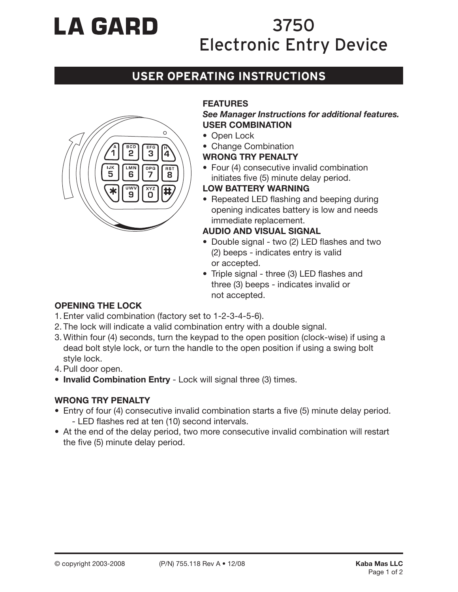# **LA GARD**

## 3750 Electronic Entry Device

### **USER OPERATING INSTRUCTIONS**



#### **FEATURES**

#### *See Manager Instructions for additional features.* **USER COMBINATION**

- Open Lock
- Change Combination
- **WRONG TRY PENALTY**
- Four (4) consecutive invalid combination initiates five (5) minute delay period.
- **LOW BATTERY WARNING**
- Repeated LED flashing and beeping during opening indicates battery is low and needs immediate replacement.
- **AUDIO AND VISUAL SIGNAL**
- Double signal two (2) LED flashes and two (2) beeps - indicates entry is valid or accepted.
- Triple signal three (3) LED flashes and three (3) beeps - indicates invalid or not accepted.

#### **OPENING THE LOCK**

- 1. Enter valid combination (factory set to 1-2-3-4-5-6).
- 2. The lock will indicate a valid combination entry with a double signal.
- 3. Within four (4) seconds, turn the keypad to the open position (clock-wise) if using a dead bolt style lock, or turn the handle to the open position if using a swing bolt style lock.
- 4. Pull door open.
- **Invalid Combination Entry** Lock will signal three (3) times.

#### **WRONG TRY PENALTY**

- Entry of four (4) consecutive invalid combination starts a five (5) minute delay period. - LED flashes red at ten (10) second intervals.
- At the end of the delay period, two more consecutive invalid combination will restart the five (5) minute delay period.